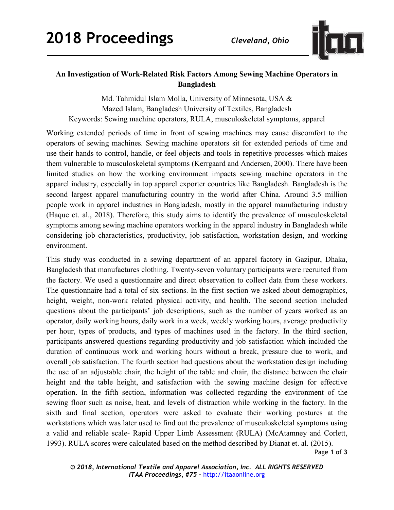

## **An Investigation of Work-Related Risk Factors Among Sewing Machine Operators in Bangladesh**

Md. Tahmidul Islam Molla, University of Minnesota, USA & Mazed Islam, Bangladesh University of Textiles, Bangladesh Keywords: Sewing machine operators, RULA, musculoskeletal symptoms, apparel

Working extended periods of time in front of sewing machines may cause discomfort to the operators of sewing machines. Sewing machine operators sit for extended periods of time and use their hands to control, handle, or feel objects and tools in repetitive processes which makes them vulnerable to musculoskeletal symptoms (Kerrgaard and Andersen, 2000). There have been limited studies on how the working environment impacts sewing machine operators in the apparel industry, especially in top apparel exporter countries like Bangladesh. Bangladesh is the second largest apparel manufacturing country in the world after China. Around 3.5 million people work in apparel industries in Bangladesh, mostly in the apparel manufacturing industry (Haque et. al., 2018). Therefore, this study aims to identify the prevalence of musculoskeletal symptoms among sewing machine operators working in the apparel industry in Bangladesh while considering job characteristics, productivity, job satisfaction, workstation design, and working environment.

This study was conducted in a sewing department of an apparel factory in Gazipur, Dhaka, Bangladesh that manufactures clothing. Twenty-seven voluntary participants were recruited from the factory. We used a questionnaire and direct observation to collect data from these workers. The questionnaire had a total of six sections. In the first section we asked about demographics, height, weight, non-work related physical activity, and health. The second section included questions about the participants' job descriptions, such as the number of years worked as an operator, daily working hours, daily work in a week, weekly working hours, average productivity per hour, types of products, and types of machines used in the factory. In the third section, participants answered questions regarding productivity and job satisfaction which included the duration of continuous work and working hours without a break, pressure due to work, and overall job satisfaction. The fourth section had questions about the workstation design including the use of an adjustable chair, the height of the table and chair, the distance between the chair height and the table height, and satisfaction with the sewing machine design for effective operation. In the fifth section, information was collected regarding the environment of the sewing floor such as noise, heat, and levels of distraction while working in the factory. In the sixth and final section, operators were asked to evaluate their working postures at the workstations which was later used to find out the prevalence of musculoskeletal symptoms using a valid and reliable scale- Rapid Upper Limb Assessment (RULA) (McAtamney and Corlett, 1993). RULA scores were calculated based on the method described by Dianat et. al. (2015).

Page **1** of **3**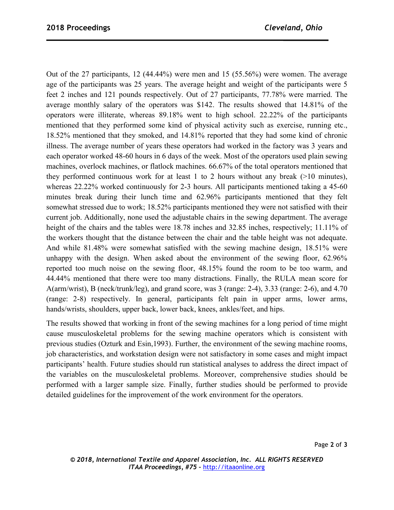Out of the 27 participants, 12 (44.44%) were men and 15 (55.56%) were women. The average age of the participants was 25 years. The average height and weight of the participants were 5 feet 2 inches and 121 pounds respectively. Out of 27 participants, 77.78% were married. The average monthly salary of the operators was \$142. The results showed that 14.81% of the operators were illiterate, whereas 89.18% went to high school. 22.22% of the participants mentioned that they performed some kind of physical activity such as exercise, running etc., 18.52% mentioned that they smoked, and 14.81% reported that they had some kind of chronic illness. The average number of years these operators had worked in the factory was 3 years and each operator worked 48-60 hours in 6 days of the week. Most of the operators used plain sewing machines, overlock machines, or flatlock machines. 66.67% of the total operators mentioned that they performed continuous work for at least 1 to 2 hours without any break (>10 minutes), whereas 22.22% worked continuously for 2-3 hours. All participants mentioned taking a 45-60 minutes break during their lunch time and 62.96% participants mentioned that they felt somewhat stressed due to work; 18.52% participants mentioned they were not satisfied with their current job. Additionally, none used the adjustable chairs in the sewing department. The average height of the chairs and the tables were 18.78 inches and 32.85 inches, respectively; 11.11% of the workers thought that the distance between the chair and the table height was not adequate. And while 81.48% were somewhat satisfied with the sewing machine design, 18.51% were unhappy with the design. When asked about the environment of the sewing floor, 62.96% reported too much noise on the sewing floor, 48.15% found the room to be too warm, and 44.44% mentioned that there were too many distractions. Finally, the RULA mean score for A(arm/wrist), B (neck/trunk/leg), and grand score, was 3 (range: 2-4), 3.33 (range: 2-6), and 4.70 (range: 2-8) respectively. In general, participants felt pain in upper arms, lower arms, hands/wrists, shoulders, upper back, lower back, knees, ankles/feet, and hips.

The results showed that working in front of the sewing machines for a long period of time might cause musculoskeletal problems for the sewing machine operators which is consistent with previous studies (Ozturk and Esin,1993). Further, the environment of the sewing machine rooms, job characteristics, and workstation design were not satisfactory in some cases and might impact participants' health. Future studies should run statistical analyses to address the direct impact of the variables on the musculoskeletal problems. Moreover, comprehensive studies should be performed with a larger sample size. Finally, further studies should be performed to provide detailed guidelines for the improvement of the work environment for the operators.

Page **2** of **3**